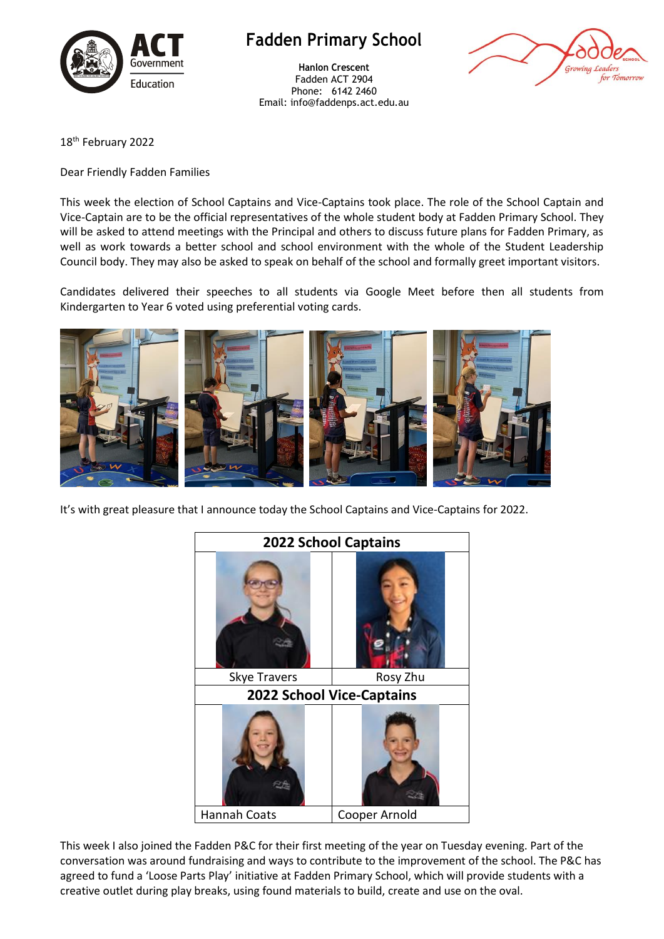

## **Fadden Primary School**

**Hanlon Crescent** Fadden ACT 2904 Phone: 6142 2460 Email: info@faddenps.act.edu.au



18 th February 2022

Dear Friendly Fadden Families

This week the election of School Captains and Vice-Captains took place. The role of the School Captain and Vice-Captain are to be the official representatives of the whole student body at Fadden Primary School. They will be asked to attend meetings with the Principal and others to discuss future plans for Fadden Primary, as well as work towards a better school and school environment with the whole of the Student Leadership Council body. They may also be asked to speak on behalf of the school and formally greet important visitors.

Candidates delivered their speeches to all students via Google Meet before then all students from Kindergarten to Year 6 voted using preferential voting cards.



It's with great pleasure that I announce today the School Captains and Vice-Captains for 2022.



This week I also joined the Fadden P&C for their first meeting of the year on Tuesday evening. Part of the conversation was around fundraising and ways to contribute to the improvement of the school. The P&C has agreed to fund a 'Loose Parts Play' initiative at Fadden Primary School, which will provide students with a creative outlet during play breaks, using found materials to build, create and use on the oval.